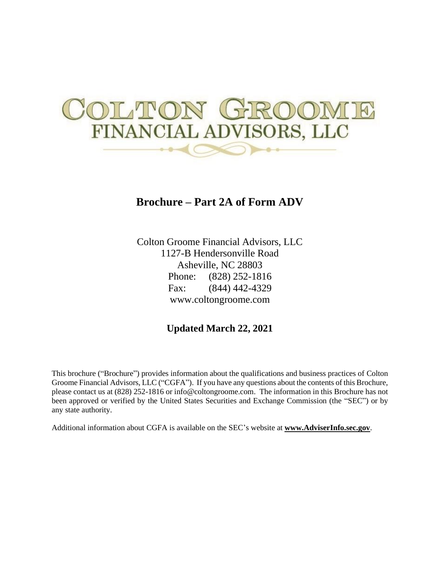# TION FINANCIAL ADVISORS, LLC

# **Brochure – Part 2A of Form ADV**

Colton Groome Financial Advisors, LLC 1127-B Hendersonville Road Asheville, NC 28803 Phone: (828) 252-1816 Fax: (844) 442-4329 www.coltongroome.com

## **Updated March 22, 2021**

This brochure ("Brochure") provides information about the qualifications and business practices of Colton Groome Financial Advisors, LLC ("CGFA"). If you have any questions about the contents of this Brochure, please contact us at (828) 252-1816 or info@coltongroome.com. The information in this Brochure has not been approved or verified by the United States Securities and Exchange Commission (the "SEC") or by any state authority.

Additional information about CGFA is available on the SEC's website at **www.AdviserInfo.sec.gov**.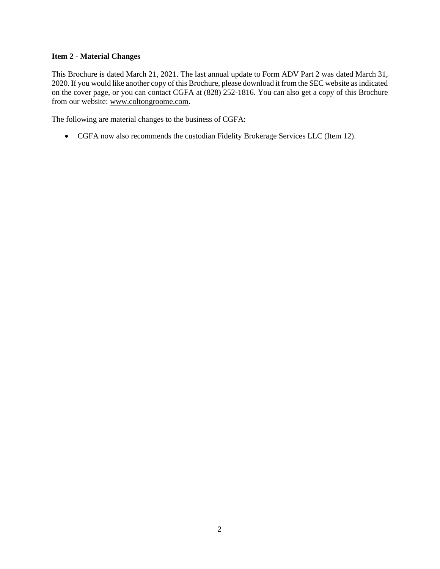#### **Item 2 - Material Changes**

This Brochure is dated March 21, 2021. The last annual update to Form ADV Part 2 was dated March 31, 2020. If you would like another copy of this Brochure, please download it from the SEC website as indicated on the cover page, or you can contact CGFA at (828) 252-1816. You can also get a copy of this Brochure from our website: [www.coltongroome.com.](http://www.coltongroome.com/)

The following are material changes to the business of CGFA:

• CGFA now also recommends the custodian Fidelity Brokerage Services LLC (Item 12).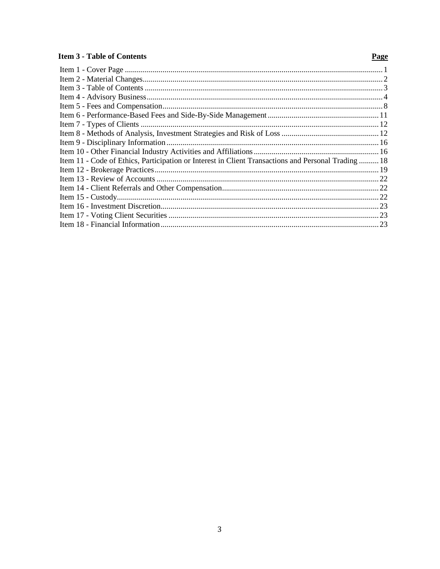#### **Item 3 - Table of Contents**

### Page

| Item 11 - Code of Ethics, Participation or Interest in Client Transactions and Personal Trading  18 |  |
|-----------------------------------------------------------------------------------------------------|--|
|                                                                                                     |  |
|                                                                                                     |  |
|                                                                                                     |  |
|                                                                                                     |  |
|                                                                                                     |  |
|                                                                                                     |  |
|                                                                                                     |  |
|                                                                                                     |  |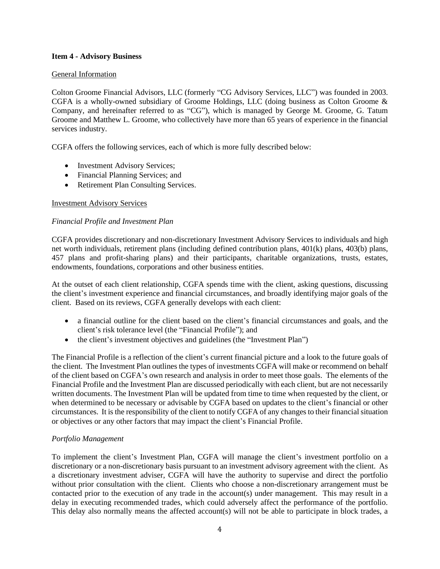#### **Item 4 - Advisory Business**

#### General Information

Colton Groome Financial Advisors, LLC (formerly "CG Advisory Services, LLC") was founded in 2003. CGFA is a wholly-owned subsidiary of Groome Holdings, LLC (doing business as Colton Groome & Company, and hereinafter referred to as "CG"), which is managed by George M. Groome, G. Tatum Groome and Matthew L. Groome, who collectively have more than 65 years of experience in the financial services industry.

CGFA offers the following services, each of which is more fully described below:

- Investment Advisory Services;
- Financial Planning Services; and
- Retirement Plan Consulting Services.

#### Investment Advisory Services

#### *Financial Profile and Investment Plan*

CGFA provides discretionary and non-discretionary Investment Advisory Services to individuals and high net worth individuals, retirement plans (including defined contribution plans, 401(k) plans, 403(b) plans, 457 plans and profit-sharing plans) and their participants, charitable organizations, trusts, estates, endowments, foundations, corporations and other business entities.

At the outset of each client relationship, CGFA spends time with the client, asking questions, discussing the client's investment experience and financial circumstances, and broadly identifying major goals of the client. Based on its reviews, CGFA generally develops with each client:

- a financial outline for the client based on the client's financial circumstances and goals, and the client's risk tolerance level (the "Financial Profile"); and
- the client's investment objectives and guidelines (the "Investment Plan")

The Financial Profile is a reflection of the client's current financial picture and a look to the future goals of the client. The Investment Plan outlines the types of investments CGFA will make or recommend on behalf of the client based on CGFA's own research and analysis in order to meet those goals. The elements of the Financial Profile and the Investment Plan are discussed periodically with each client, but are not necessarily written documents. The Investment Plan will be updated from time to time when requested by the client, or when determined to be necessary or advisable by CGFA based on updates to the client's financial or other circumstances. It is the responsibility of the client to notify CGFA of any changes to their financial situation or objectives or any other factors that may impact the client's Financial Profile.

#### *Portfolio Management*

To implement the client's Investment Plan, CGFA will manage the client's investment portfolio on a discretionary or a non-discretionary basis pursuant to an investment advisory agreement with the client. As a discretionary investment adviser, CGFA will have the authority to supervise and direct the portfolio without prior consultation with the client. Clients who choose a non-discretionary arrangement must be contacted prior to the execution of any trade in the account(s) under management. This may result in a delay in executing recommended trades, which could adversely affect the performance of the portfolio. This delay also normally means the affected account(s) will not be able to participate in block trades, a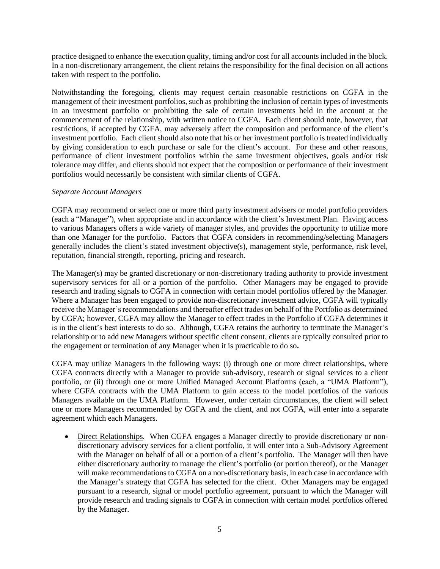practice designed to enhance the execution quality, timing and/or cost for all accounts included in the block. In a non-discretionary arrangement, the client retains the responsibility for the final decision on all actions taken with respect to the portfolio.

Notwithstanding the foregoing, clients may request certain reasonable restrictions on CGFA in the management of their investment portfolios, such as prohibiting the inclusion of certain types of investments in an investment portfolio or prohibiting the sale of certain investments held in the account at the commencement of the relationship, with written notice to CGFA. Each client should note, however, that restrictions, if accepted by CGFA, may adversely affect the composition and performance of the client's investment portfolio. Each client should also note that his or her investment portfolio is treated individually by giving consideration to each purchase or sale for the client's account. For these and other reasons, performance of client investment portfolios within the same investment objectives, goals and/or risk tolerance may differ, and clients should not expect that the composition or performance of their investment portfolios would necessarily be consistent with similar clients of CGFA.

#### *Separate Account Managers*

CGFA may recommend or select one or more third party investment advisers or model portfolio providers (each a "Manager"), when appropriate and in accordance with the client's Investment Plan. Having access to various Managers offers a wide variety of manager styles, and provides the opportunity to utilize more than one Manager for the portfolio. Factors that CGFA considers in recommending/selecting Managers generally includes the client's stated investment objective(s), management style, performance, risk level, reputation, financial strength, reporting, pricing and research.

The Manager(s) may be granted discretionary or non-discretionary trading authority to provide investment supervisory services for all or a portion of the portfolio. Other Managers may be engaged to provide research and trading signals to CGFA in connection with certain model portfolios offered by the Manager. Where a Manager has been engaged to provide non-discretionary investment advice, CGFA will typically receive the Manager's recommendations and thereafter effect trades on behalf of the Portfolio as determined by CGFA; however, CGFA may allow the Manager to effect trades in the Portfolio if CGFA determines it is in the client's best interests to do so. Although, CGFA retains the authority to terminate the Manager's relationship or to add new Managers without specific client consent, clients are typically consulted prior to the engagement or termination of any Manager when it is practicable to do so**.**

CGFA may utilize Managers in the following ways: (i) through one or more direct relationships, where CGFA contracts directly with a Manager to provide sub-advisory, research or signal services to a client portfolio, or (ii) through one or more Unified Managed Account Platforms (each, a "UMA Platform"), where CGFA contracts with the UMA Platform to gain access to the model portfolios of the various Managers available on the UMA Platform. However, under certain circumstances, the client will select one or more Managers recommended by CGFA and the client, and not CGFA, will enter into a separate agreement which each Managers.

• Direct Relationships*.* When CGFA engages a Manager directly to provide discretionary or nondiscretionary advisory services for a client portfolio, it will enter into a Sub-Advisory Agreement with the Manager on behalf of all or a portion of a client's portfolio. The Manager will then have either discretionary authority to manage the client's portfolio (or portion thereof), or the Manager will make recommendations to CGFA on a non-discretionary basis, in each case in accordance with the Manager's strategy that CGFA has selected for the client. Other Managers may be engaged pursuant to a research, signal or model portfolio agreement, pursuant to which the Manager will provide research and trading signals to CGFA in connection with certain model portfolios offered by the Manager.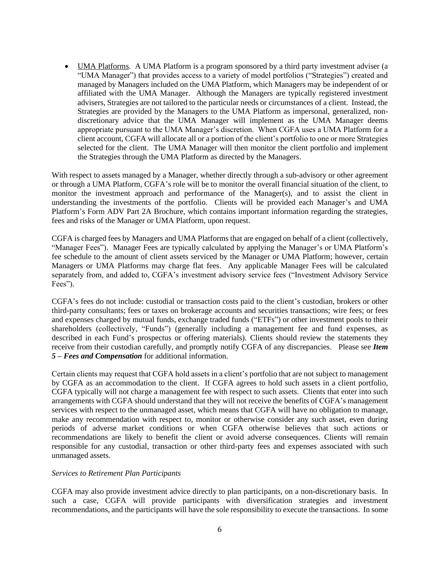• UMA Platforms*.* A UMA Platform is a program sponsored by a third party investment adviser (a "UMA Manager") that provides access to a variety of model portfolios ("Strategies") created and managed by Managers included on the UMA Platform, which Managers may be independent of or affiliated with the UMA Manager. Although the Managers are typically registered investment advisers, Strategies are not tailored to the particular needs or circumstances of a client. Instead, the Strategies are provided by the Managers to the UMA Platform as impersonal, generalized, nondiscretionary advice that the UMA Manager will implement as the UMA Manager deems appropriate pursuant to the UMA Manager's discretion. When CGFA uses a UMA Platform for a client account, CGFA will allocate all or a portion of the client's portfolio to one or more Strategies selected for the client. The UMA Manager will then monitor the client portfolio and implement the Strategies through the UMA Platform as directed by the Managers.

With respect to assets managed by a Manager, whether directly through a sub-advisory or other agreement or through a UMA Platform, CGFA's role will be to monitor the overall financial situation of the client, to monitor the investment approach and performance of the Manager(s), and to assist the client in understanding the investments of the portfolio. Clients will be provided each Manager's and UMA Platform's Form ADV Part 2A Brochure, which contains important information regarding the strategies, fees and risks of the Manager or UMA Platform, upon request.

CGFA is charged fees by Managers and UMA Platforms that are engaged on behalf of a client (collectively, "Manager Fees"). Manager Fees are typically calculated by applying the Manager's or UMA Platform's fee schedule to the amount of client assets serviced by the Manager or UMA Platform; however, certain Managers or UMA Platforms may charge flat fees. Any applicable Manager Fees will be calculated separately from, and added to, CGFA's investment advisory service fees ("Investment Advisory Service Fees").

CGFA's fees do not include: custodial or transaction costs paid to the client's custodian, brokers or other third-party consultants; fees or taxes on brokerage accounts and securities transactions; wire fees; or fees and expenses charged by mutual funds, exchange traded funds ("ETFs") or other investment pools to their shareholders (collectively, "Funds") (generally including a management fee and fund expenses, as described in each Fund's prospectus or offering materials). Clients should review the statements they receive from their custodian carefully, and promptly notify CGFA of any discrepancies. Please see *Item 5 – Fees and Compensation* for additional information.

Certain clients may request that CGFA hold assets in a client's portfolio that are not subject to management by CGFA as an accommodation to the client. If CGFA agrees to hold such assets in a client portfolio, CGFA typically will not charge a management fee with respect to such assets. Clients that enter into such arrangements with CGFA should understand that they will not receive the benefits of CGFA's management services with respect to the unmanaged asset, which means that CGFA will have no obligation to manage, make any recommendation with respect to, monitor or otherwise consider any such asset, even during periods of adverse market conditions or when CGFA otherwise believes that such actions or recommendations are likely to benefit the client or avoid adverse consequences. Clients will remain responsible for any custodial, transaction or other third-party fees and expenses associated with such unmanaged assets.

#### *Services to Retirement Plan Participants*

CGFA may also provide investment advice directly to plan participants, on a non-discretionary basis. In such a case, CGFA will provide participants with diversification strategies and investment recommendations, and the participants will have the sole responsibility to execute the transactions. In some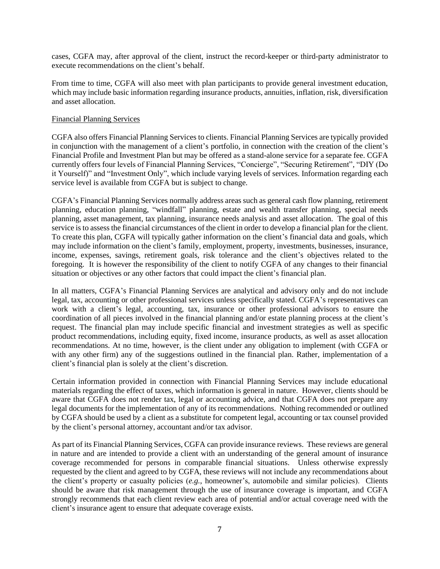cases, CGFA may, after approval of the client, instruct the record-keeper or third-party administrator to execute recommendations on the client's behalf.

From time to time, CGFA will also meet with plan participants to provide general investment education, which may include basic information regarding insurance products, annuities, inflation, risk, diversification and asset allocation.

#### Financial Planning Services

CGFA also offers Financial Planning Services to clients. Financial Planning Services are typically provided in conjunction with the management of a client's portfolio, in connection with the creation of the client's Financial Profile and Investment Plan but may be offered as a stand-alone service for a separate fee. CGFA currently offers four levels of Financial Planning Services, "Concierge", "Securing Retirement", "DIY (Do it Yourself)" and "Investment Only", which include varying levels of services. Information regarding each service level is available from CGFA but is subject to change.

CGFA's Financial Planning Services normally address areas such as general cash flow planning, retirement planning, education planning, "windfall" planning, estate and wealth transfer planning, special needs planning, asset management, tax planning, insurance needs analysis and asset allocation. The goal of this service is to assess the financial circumstances of the client in order to develop a financial plan for the client. To create this plan, CGFA will typically gather information on the client's financial data and goals, which may include information on the client's family, employment, property, investments, businesses, insurance, income, expenses, savings, retirement goals, risk tolerance and the client's objectives related to the foregoing. It is however the responsibility of the client to notify CGFA of any changes to their financial situation or objectives or any other factors that could impact the client's financial plan.

In all matters, CGFA's Financial Planning Services are analytical and advisory only and do not include legal, tax, accounting or other professional services unless specifically stated. CGFA's representatives can work with a client's legal, accounting, tax, insurance or other professional advisors to ensure the coordination of all pieces involved in the financial planning and/or estate planning process at the client's request. The financial plan may include specific financial and investment strategies as well as specific product recommendations, including equity, fixed income, insurance products, as well as asset allocation recommendations. At no time, however, is the client under any obligation to implement (with CGFA or with any other firm) any of the suggestions outlined in the financial plan. Rather, implementation of a client's financial plan is solely at the client's discretion.

Certain information provided in connection with Financial Planning Services may include educational materials regarding the effect of taxes, which information is general in nature. However, clients should be aware that CGFA does not render tax, legal or accounting advice, and that CGFA does not prepare any legal documents for the implementation of any of its recommendations. Nothing recommended or outlined by CGFA should be used by a client as a substitute for competent legal, accounting or tax counsel provided by the client's personal attorney, accountant and/or tax advisor.

As part of its Financial Planning Services, CGFA can provide insurance reviews. These reviews are general in nature and are intended to provide a client with an understanding of the general amount of insurance coverage recommended for persons in comparable financial situations. Unless otherwise expressly requested by the client and agreed to by CGFA, these reviews will not include any recommendations about the client's property or casualty policies (*e.g.*, homeowner's, automobile and similar policies). Clients should be aware that risk management through the use of insurance coverage is important, and CGFA strongly recommends that each client review each area of potential and/or actual coverage need with the client's insurance agent to ensure that adequate coverage exists.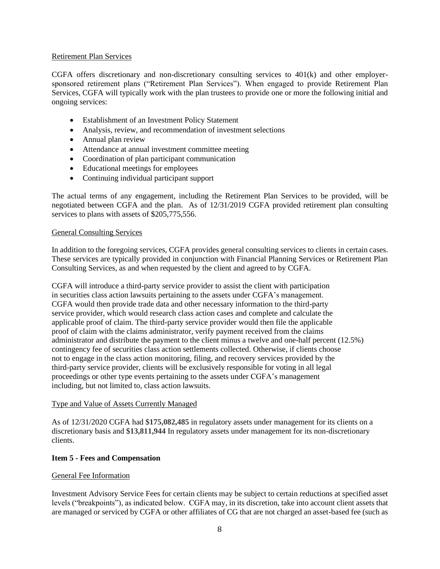#### Retirement Plan Services

CGFA offers discretionary and non-discretionary consulting services to 401(k) and other employersponsored retirement plans ("Retirement Plan Services"). When engaged to provide Retirement Plan Services, CGFA will typically work with the plan trustees to provide one or more the following initial and ongoing services:

- Establishment of an Investment Policy Statement
- Analysis, review, and recommendation of investment selections
- Annual plan review
- Attendance at annual investment committee meeting
- Coordination of plan participant communication
- Educational meetings for employees
- Continuing individual participant support

The actual terms of any engagement, including the Retirement Plan Services to be provided, will be negotiated between CGFA and the plan. As of 12/31/2019 CGFA provided retirement plan consulting services to plans with assets of \$205,775,556.

#### General Consulting Services

In addition to the foregoing services, CGFA provides general consulting services to clients in certain cases. These services are typically provided in conjunction with Financial Planning Services or Retirement Plan Consulting Services, as and when requested by the client and agreed to by CGFA.

CGFA will introduce a third-party service provider to assist the client with participation in securities class action lawsuits pertaining to the assets under CGFA's management. CGFA would then provide trade data and other necessary information to the third-party service provider, which would research class action cases and complete and calculate the applicable proof of claim. The third-party service provider would then file the applicable proof of claim with the claims administrator, verify payment received from the claims administrator and distribute the payment to the client minus a twelve and one-half percent (12.5%) contingency fee of securities class action settlements collected. Otherwise, if clients choose not to engage in the class action monitoring, filing, and recovery services provided by the third-party service provider, clients will be exclusively responsible for voting in all legal proceedings or other type events pertaining to the assets under CGFA's management including, but not limited to, class action lawsuits.

#### Type and Value of Assets Currently Managed

As of 12/31/2020 CGFA had \$**175,082,485** in regulatory assets under management for its clients on a discretionary basis and \$**13,811,944** In regulatory assets under management for its non-discretionary clients.

#### **Item 5 - Fees and Compensation**

#### General Fee Information

Investment Advisory Service Fees for certain clients may be subject to certain reductions at specified asset levels ("breakpoints"), as indicated below. CGFA may, in its discretion, take into account client assets that are managed or serviced by CGFA or other affiliates of CG that are not charged an asset-based fee (such as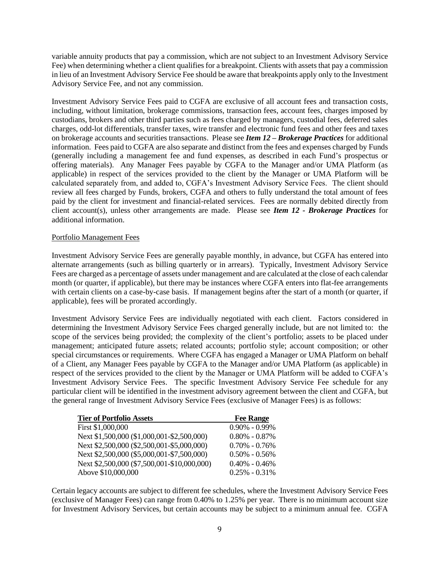variable annuity products that pay a commission, which are not subject to an Investment Advisory Service Fee) when determining whether a client qualifies for a breakpoint. Clients with assets that pay a commission in lieu of an Investment Advisory Service Fee should be aware that breakpoints apply only to the Investment Advisory Service Fee, and not any commission.

Investment Advisory Service Fees paid to CGFA are exclusive of all account fees and transaction costs, including, without limitation, brokerage commissions, transaction fees, account fees, charges imposed by custodians, brokers and other third parties such as fees charged by managers, custodial fees, deferred sales charges, odd-lot differentials, transfer taxes, wire transfer and electronic fund fees and other fees and taxes on brokerage accounts and securities transactions. Please see *Item 12 – Brokerage Practices* for additional information. Fees paid to CGFA are also separate and distinct from the fees and expenses charged by Funds (generally including a management fee and fund expenses, as described in each Fund's prospectus or offering materials). Any Manager Fees payable by CGFA to the Manager and/or UMA Platform (as applicable) in respect of the services provided to the client by the Manager or UMA Platform will be calculated separately from, and added to, CGFA's Investment Advisory Service Fees. The client should review all fees charged by Funds, brokers, CGFA and others to fully understand the total amount of fees paid by the client for investment and financial-related services. Fees are normally debited directly from client account(s), unless other arrangements are made. Please see *Item 12 - Brokerage Practices* for additional information.

#### Portfolio Management Fees

Investment Advisory Service Fees are generally payable monthly, in advance, but CGFA has entered into alternate arrangements (such as billing quarterly or in arrears). Typically, Investment Advisory Service Fees are charged as a percentage of assets under management and are calculated at the close of each calendar month (or quarter, if applicable), but there may be instances where CGFA enters into flat-fee arrangements with certain clients on a case-by-case basis. If management begins after the start of a month (or quarter, if applicable), fees will be prorated accordingly.

Investment Advisory Service Fees are individually negotiated with each client. Factors considered in determining the Investment Advisory Service Fees charged generally include, but are not limited to: the scope of the services being provided; the complexity of the client's portfolio; assets to be placed under management; anticipated future assets; related accounts; portfolio style; account composition; or other special circumstances or requirements. Where CGFA has engaged a Manager or UMA Platform on behalf of a Client, any Manager Fees payable by CGFA to the Manager and/or UMA Platform (as applicable) in respect of the services provided to the client by the Manager or UMA Platform will be added to CGFA's Investment Advisory Service Fees. The specific Investment Advisory Service Fee schedule for any particular client will be identified in the investment advisory agreement between the client and CGFA, but the general range of Investment Advisory Service Fees (exclusive of Manager Fees) is as follows:

| <b>Tier of Portfolio Assets</b>             | <b>Fee Range</b>  |
|---------------------------------------------|-------------------|
| First \$1,000,000                           | $0.90\% - 0.99\%$ |
| Next \$1,500,000 (\$1,000,001-\$2,500,000)  | $0.80\% - 0.87\%$ |
| Next \$2,500,000 (\$2,500,001-\$5,000,000)  | $0.70\% - 0.76\%$ |
| Next \$2,500,000 (\$5,000,001-\$7,500,000)  | $0.50\% - 0.56\%$ |
| Next \$2,500,000 (\$7,500,001-\$10,000,000) | $0.40\% - 0.46\%$ |
| Above \$10,000,000                          | $0.25\% - 0.31\%$ |

Certain legacy accounts are subject to different fee schedules, where the Investment Advisory Service Fees (exclusive of Manager Fees) can range from 0.40% to 1.25% per year. There is no minimum account size for Investment Advisory Services, but certain accounts may be subject to a minimum annual fee. CGFA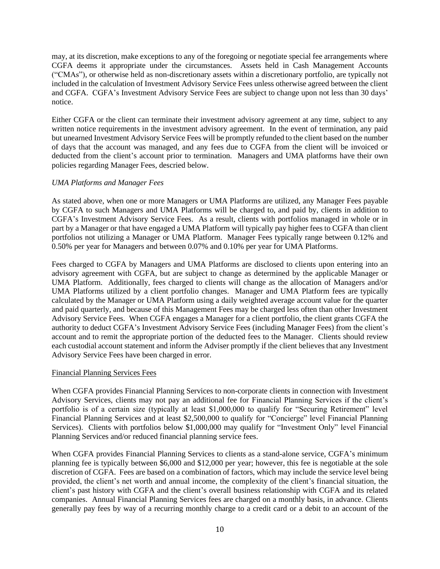may, at its discretion, make exceptions to any of the foregoing or negotiate special fee arrangements where CGFA deems it appropriate under the circumstances. Assets held in Cash Management Accounts ("CMAs"), or otherwise held as non-discretionary assets within a discretionary portfolio, are typically not included in the calculation of Investment Advisory Service Fees unless otherwise agreed between the client and CGFA. CGFA's Investment Advisory Service Fees are subject to change upon not less than 30 days' notice.

Either CGFA or the client can terminate their investment advisory agreement at any time, subject to any written notice requirements in the investment advisory agreement. In the event of termination, any paid but unearned Investment Advisory Service Fees will be promptly refunded to the client based on the number of days that the account was managed, and any fees due to CGFA from the client will be invoiced or deducted from the client's account prior to termination. Managers and UMA platforms have their own policies regarding Manager Fees, descried below.

#### *UMA Platforms and Manager Fees*

As stated above, when one or more Managers or UMA Platforms are utilized, any Manager Fees payable by CGFA to such Managers and UMA Platforms will be charged to, and paid by, clients in addition to CGFA's Investment Advisory Service Fees. As a result, clients with portfolios managed in whole or in part by a Manager or that have engaged a UMA Platform will typically pay higher fees to CGFA than client portfolios not utilizing a Manager or UMA Platform. Manager Fees typically range between 0.12% and 0.50% per year for Managers and between 0.07% and 0.10% per year for UMA Platforms.

Fees charged to CGFA by Managers and UMA Platforms are disclosed to clients upon entering into an advisory agreement with CGFA, but are subject to change as determined by the applicable Manager or UMA Platform. Additionally, fees charged to clients will change as the allocation of Managers and/or UMA Platforms utilized by a client portfolio changes. Manager and UMA Platform fees are typically calculated by the Manager or UMA Platform using a daily weighted average account value for the quarter and paid quarterly, and because of this Management Fees may be charged less often than other Investment Advisory Service Fees. When CGFA engages a Manager for a client portfolio, the client grants CGFA the authority to deduct CGFA's Investment Advisory Service Fees (including Manager Fees) from the client's account and to remit the appropriate portion of the deducted fees to the Manager. Clients should review each custodial account statement and inform the Adviser promptly if the client believes that any Investment Advisory Service Fees have been charged in error.

#### Financial Planning Services Fees

When CGFA provides Financial Planning Services to non-corporate clients in connection with Investment Advisory Services, clients may not pay an additional fee for Financial Planning Services if the client's portfolio is of a certain size (typically at least \$1,000,000 to qualify for "Securing Retirement" level Financial Planning Services and at least \$2,500,000 to qualify for "Concierge" level Financial Planning Services). Clients with portfolios below \$1,000,000 may qualify for "Investment Only" level Financial Planning Services and/or reduced financial planning service fees.

When CGFA provides Financial Planning Services to clients as a stand-alone service, CGFA's minimum planning fee is typically between \$6,000 and \$12,000 per year; however, this fee is negotiable at the sole discretion of CGFA. Fees are based on a combination of factors, which may include the service level being provided, the client's net worth and annual income, the complexity of the client's financial situation, the client's past history with CGFA and the client's overall business relationship with CGFA and its related companies. Annual Financial Planning Services fees are charged on a monthly basis, in advance. Clients generally pay fees by way of a recurring monthly charge to a credit card or a debit to an account of the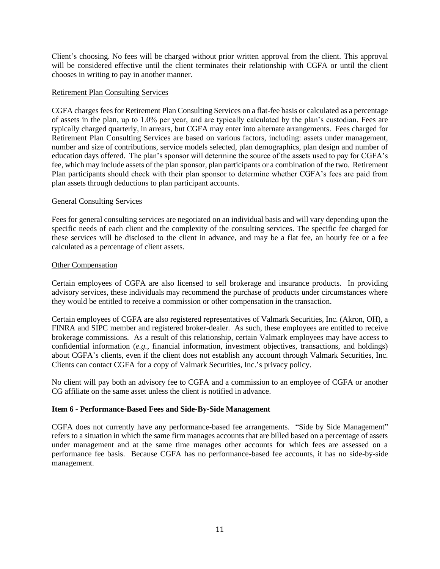Client's choosing. No fees will be charged without prior written approval from the client. This approval will be considered effective until the client terminates their relationship with CGFA or until the client chooses in writing to pay in another manner.

#### Retirement Plan Consulting Services

CGFA charges fees for Retirement Plan Consulting Services on a flat-fee basis or calculated as a percentage of assets in the plan, up to 1.0% per year, and are typically calculated by the plan's custodian. Fees are typically charged quarterly, in arrears, but CGFA may enter into alternate arrangements. Fees charged for Retirement Plan Consulting Services are based on various factors, including: assets under management, number and size of contributions, service models selected, plan demographics, plan design and number of education days offered. The plan's sponsor will determine the source of the assets used to pay for CGFA's fee, which may include assets of the plan sponsor, plan participants or a combination of the two. Retirement Plan participants should check with their plan sponsor to determine whether CGFA's fees are paid from plan assets through deductions to plan participant accounts.

#### General Consulting Services

Fees for general consulting services are negotiated on an individual basis and will vary depending upon the specific needs of each client and the complexity of the consulting services. The specific fee charged for these services will be disclosed to the client in advance, and may be a flat fee, an hourly fee or a fee calculated as a percentage of client assets.

#### Other Compensation

Certain employees of CGFA are also licensed to sell brokerage and insurance products. In providing advisory services, these individuals may recommend the purchase of products under circumstances where they would be entitled to receive a commission or other compensation in the transaction.

Certain employees of CGFA are also registered representatives of Valmark Securities, Inc. (Akron, OH), a FINRA and SIPC member and registered broker-dealer. As such, these employees are entitled to receive brokerage commissions. As a result of this relationship, certain Valmark employees may have access to confidential information (*e.g.*, financial information, investment objectives, transactions, and holdings) about CGFA's clients, even if the client does not establish any account through Valmark Securities, Inc. Clients can contact CGFA for a copy of Valmark Securities, Inc.'s privacy policy.

No client will pay both an advisory fee to CGFA and a commission to an employee of CGFA or another CG affiliate on the same asset unless the client is notified in advance.

#### **Item 6 - Performance-Based Fees and Side-By-Side Management**

CGFA does not currently have any performance-based fee arrangements. "Side by Side Management" refers to a situation in which the same firm manages accounts that are billed based on a percentage of assets under management and at the same time manages other accounts for which fees are assessed on a performance fee basis. Because CGFA has no performance-based fee accounts, it has no side-by-side management.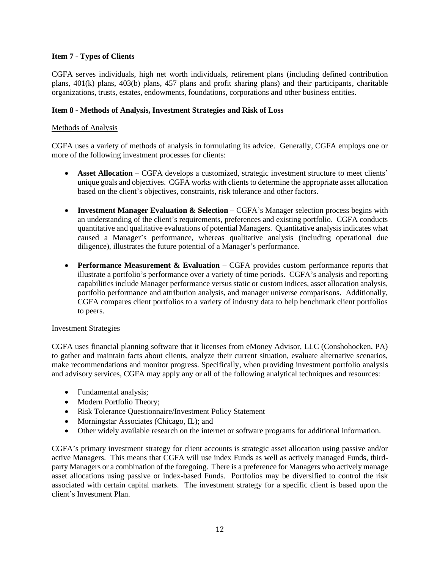#### **Item 7 - Types of Clients**

CGFA serves individuals, high net worth individuals, retirement plans (including defined contribution plans, 401(k) plans, 403(b) plans, 457 plans and profit sharing plans) and their participants, charitable organizations, trusts, estates, endowments, foundations, corporations and other business entities.

#### **Item 8 - Methods of Analysis, Investment Strategies and Risk of Loss**

#### Methods of Analysis

CGFA uses a variety of methods of analysis in formulating its advice. Generally, CGFA employs one or more of the following investment processes for clients:

- **Asset Allocation** CGFA develops a customized, strategic investment structure to meet clients' unique goals and objectives. CGFA works with clients to determine the appropriate asset allocation based on the client's objectives, constraints, risk tolerance and other factors.
- **Investment Manager Evaluation & Selection** CGFA's Manager selection process begins with an understanding of the client's requirements, preferences and existing portfolio. CGFA conducts quantitative and qualitative evaluations of potential Managers. Quantitative analysis indicates what caused a Manager's performance, whereas qualitative analysis (including operational due diligence), illustrates the future potential of a Manager's performance.
- **Performance Measurement & Evaluation** CGFA provides custom performance reports that illustrate a portfolio's performance over a variety of time periods. CGFA's analysis and reporting capabilities include Manager performance versus static or custom indices, asset allocation analysis, portfolio performance and attribution analysis, and manager universe comparisons. Additionally, CGFA compares client portfolios to a variety of industry data to help benchmark client portfolios to peers.

#### Investment Strategies

CGFA uses financial planning software that it licenses from eMoney Advisor, LLC (Conshohocken, PA) to gather and maintain facts about clients, analyze their current situation, evaluate alternative scenarios, make recommendations and monitor progress. Specifically, when providing investment portfolio analysis and advisory services, CGFA may apply any or all of the following analytical techniques and resources:

- Fundamental analysis;
- Modern Portfolio Theory;
- Risk Tolerance Questionnaire/Investment Policy Statement
- Morningstar Associates (Chicago, IL); and
- Other widely available research on the internet or software programs for additional information.

CGFA's primary investment strategy for client accounts is strategic asset allocation using passive and/or active Managers. This means that CGFA will use index Funds as well as actively managed Funds, thirdparty Managers or a combination of the foregoing. There is a preference for Managers who actively manage asset allocations using passive or index-based Funds. Portfolios may be diversified to control the risk associated with certain capital markets. The investment strategy for a specific client is based upon the client's Investment Plan.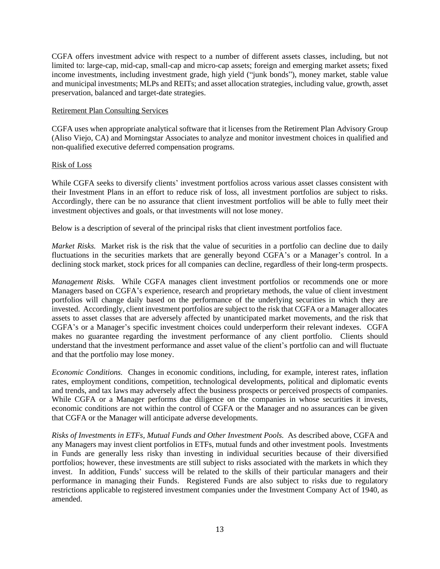CGFA offers investment advice with respect to a number of different assets classes, including, but not limited to: large-cap, mid-cap, small-cap and micro-cap assets; foreign and emerging market assets; fixed income investments, including investment grade, high yield ("junk bonds"), money market, stable value and municipal investments; MLPs and REITs; and asset allocation strategies, including value, growth, asset preservation, balanced and target-date strategies.

#### Retirement Plan Consulting Services

CGFA uses when appropriate analytical software that it licenses from the Retirement Plan Advisory Group (Aliso Viejo, CA) and Morningstar Associates to analyze and monitor investment choices in qualified and non-qualified executive deferred compensation programs.

#### Risk of Loss

While CGFA seeks to diversify clients' investment portfolios across various asset classes consistent with their Investment Plans in an effort to reduce risk of loss, all investment portfolios are subject to risks. Accordingly, there can be no assurance that client investment portfolios will be able to fully meet their investment objectives and goals, or that investments will not lose money.

Below is a description of several of the principal risks that client investment portfolios face.

*Market Risks.* Market risk is the risk that the value of securities in a portfolio can decline due to daily fluctuations in the securities markets that are generally beyond CGFA's or a Manager's control. In a declining stock market, stock prices for all companies can decline, regardless of their long-term prospects.

*Management Risks.* While CGFA manages client investment portfolios or recommends one or more Managers based on CGFA's experience, research and proprietary methods, the value of client investment portfolios will change daily based on the performance of the underlying securities in which they are invested. Accordingly, client investment portfolios are subject to the risk that CGFA or a Manager allocates assets to asset classes that are adversely affected by unanticipated market movements, and the risk that CGFA's or a Manager's specific investment choices could underperform their relevant indexes. CGFA makes no guarantee regarding the investment performance of any client portfolio. Clients should understand that the investment performance and asset value of the client's portfolio can and will fluctuate and that the portfolio may lose money.

*Economic Conditions.* Changes in economic conditions, including, for example, interest rates, inflation rates, employment conditions, competition, technological developments, political and diplomatic events and trends, and tax laws may adversely affect the business prospects or perceived prospects of companies. While CGFA or a Manager performs due diligence on the companies in whose securities it invests, economic conditions are not within the control of CGFA or the Manager and no assurances can be given that CGFA or the Manager will anticipate adverse developments.

*Risks of Investments in ETFs, Mutual Funds and Other Investment Pools.* As described above, CGFA and any Managers may invest client portfolios in ETFs, mutual funds and other investment pools. Investments in Funds are generally less risky than investing in individual securities because of their diversified portfolios; however, these investments are still subject to risks associated with the markets in which they invest. In addition, Funds' success will be related to the skills of their particular managers and their performance in managing their Funds. Registered Funds are also subject to risks due to regulatory restrictions applicable to registered investment companies under the Investment Company Act of 1940, as amended.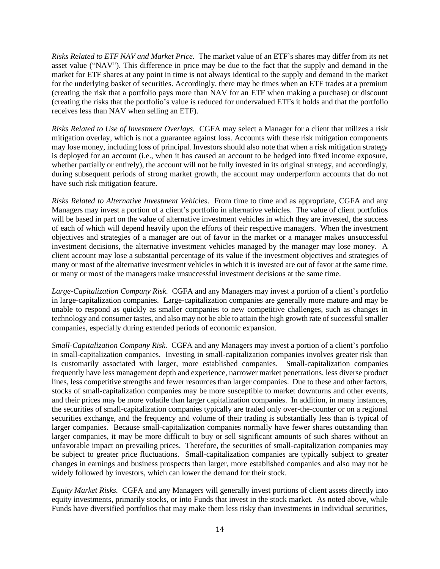*Risks Related to ETF NAV and Market Price.* The market value of an ETF's shares may differ from its net asset value ("NAV"). This difference in price may be due to the fact that the supply and demand in the market for ETF shares at any point in time is not always identical to the supply and demand in the market for the underlying basket of securities. Accordingly, there may be times when an ETF trades at a premium (creating the risk that a portfolio pays more than NAV for an ETF when making a purchase) or discount (creating the risks that the portfolio's value is reduced for undervalued ETFs it holds and that the portfolio receives less than NAV when selling an ETF).

*Risks Related to Use of Investment Overlays.* CGFA may select a Manager for a client that utilizes a risk mitigation overlay, which is not a guarantee against loss. Accounts with these risk mitigation components may lose money, including loss of principal. Investors should also note that when a risk mitigation strategy is deployed for an account (i.e., when it has caused an account to be hedged into fixed income exposure, whether partially or entirely), the account will not be fully invested in its original strategy, and accordingly, during subsequent periods of strong market growth, the account may underperform accounts that do not have such risk mitigation feature.

*Risks Related to Alternative Investment Vehicles*. From time to time and as appropriate, CGFA and any Managers may invest a portion of a client's portfolio in alternative vehicles. The value of client portfolios will be based in part on the value of alternative investment vehicles in which they are invested, the success of each of which will depend heavily upon the efforts of their respective managers. When the investment objectives and strategies of a manager are out of favor in the market or a manager makes unsuccessful investment decisions, the alternative investment vehicles managed by the manager may lose money. A client account may lose a substantial percentage of its value if the investment objectives and strategies of many or most of the alternative investment vehicles in which it is invested are out of favor at the same time, or many or most of the managers make unsuccessful investment decisions at the same time.

*Large-Capitalization Company Risk.* CGFA and any Managers may invest a portion of a client's portfolio in large-capitalization companies. Large-capitalization companies are generally more mature and may be unable to respond as quickly as smaller companies to new competitive challenges, such as changes in technology and consumer tastes, and also may not be able to attain the high growth rate of successful smaller companies, especially during extended periods of economic expansion.

*Small-Capitalization Company Risk.* CGFA and any Managers may invest a portion of a client's portfolio in small-capitalization companies. Investing in small-capitalization companies involves greater risk than is customarily associated with larger, more established companies. Small-capitalization companies frequently have less management depth and experience, narrower market penetrations, less diverse product lines, less competitive strengths and fewer resources than larger companies. Due to these and other factors, stocks of small-capitalization companies may be more susceptible to market downturns and other events, and their prices may be more volatile than larger capitalization companies. In addition, in many instances, the securities of small-capitalization companies typically are traded only over-the-counter or on a regional securities exchange, and the frequency and volume of their trading is substantially less than is typical of larger companies. Because small-capitalization companies normally have fewer shares outstanding than larger companies, it may be more difficult to buy or sell significant amounts of such shares without an unfavorable impact on prevailing prices. Therefore, the securities of small-capitalization companies may be subject to greater price fluctuations. Small-capitalization companies are typically subject to greater changes in earnings and business prospects than larger, more established companies and also may not be widely followed by investors, which can lower the demand for their stock.

*Equity Market Risks.* CGFA and any Managers will generally invest portions of client assets directly into equity investments, primarily stocks, or into Funds that invest in the stock market. As noted above, while Funds have diversified portfolios that may make them less risky than investments in individual securities,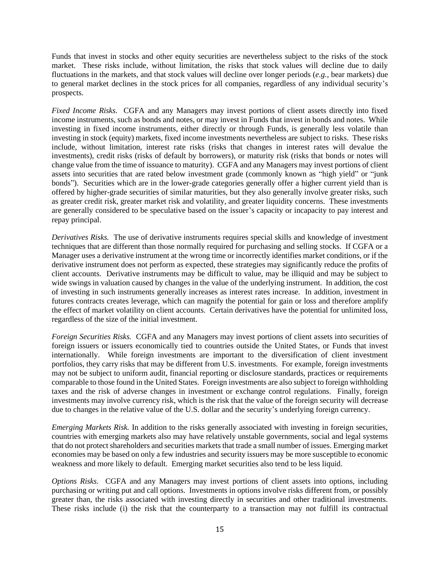Funds that invest in stocks and other equity securities are nevertheless subject to the risks of the stock market. These risks include, without limitation, the risks that stock values will decline due to daily fluctuations in the markets, and that stock values will decline over longer periods (*e.g.*, bear markets) due to general market declines in the stock prices for all companies, regardless of any individual security's prospects.

*Fixed Income Risks.* CGFA and any Managers may invest portions of client assets directly into fixed income instruments, such as bonds and notes, or may invest in Funds that invest in bonds and notes. While investing in fixed income instruments, either directly or through Funds, is generally less volatile than investing in stock (equity) markets, fixed income investments nevertheless are subject to risks. These risks include, without limitation, interest rate risks (risks that changes in interest rates will devalue the investments), credit risks (risks of default by borrowers), or maturity risk (risks that bonds or notes will change value from the time of issuance to maturity). CGFA and any Managers may invest portions of client assets into securities that are rated below investment grade (commonly known as "high yield" or "junk bonds"). Securities which are in the lower-grade categories generally offer a higher current yield than is offered by higher-grade securities of similar maturities, but they also generally involve greater risks, such as greater credit risk, greater market risk and volatility, and greater liquidity concerns. These investments are generally considered to be speculative based on the issuer's capacity or incapacity to pay interest and repay principal.

*Derivatives Risks.* The use of derivative instruments requires special skills and knowledge of investment techniques that are different than those normally required for purchasing and selling stocks. If CGFA or a Manager uses a derivative instrument at the wrong time or incorrectly identifies market conditions, or if the derivative instrument does not perform as expected, these strategies may significantly reduce the profits of client accounts. Derivative instruments may be difficult to value, may be illiquid and may be subject to wide swings in valuation caused by changes in the value of the underlying instrument. In addition, the cost of investing in such instruments generally increases as interest rates increase. In addition, investment in futures contracts creates leverage, which can magnify the potential for gain or loss and therefore amplify the effect of market volatility on client accounts. Certain derivatives have the potential for unlimited loss, regardless of the size of the initial investment.

*Foreign Securities Risks.* CGFA and any Managers may invest portions of client assets into securities of foreign issuers or issuers economically tied to countries outside the United States, or Funds that invest internationally. While foreign investments are important to the diversification of client investment portfolios, they carry risks that may be different from U.S. investments. For example, foreign investments may not be subject to uniform audit, financial reporting or disclosure standards, practices or requirements comparable to those found in the United States. Foreign investments are also subject to foreign withholding taxes and the risk of adverse changes in investment or exchange control regulations. Finally, foreign investments may involve currency risk, which is the risk that the value of the foreign security will decrease due to changes in the relative value of the U.S. dollar and the security's underlying foreign currency.

*Emerging Markets Risk.* In addition to the risks generally associated with investing in foreign securities, countries with emerging markets also may have relatively unstable governments, social and legal systems that do not protect shareholders and securities markets that trade a small number of issues. Emerging market economies may be based on only a few industries and security issuers may be more susceptible to economic weakness and more likely to default. Emerging market securities also tend to be less liquid.

*Options Risks.* CGFA and any Managers may invest portions of client assets into options, including purchasing or writing put and call options. Investments in options involve risks different from, or possibly greater than, the risks associated with investing directly in securities and other traditional investments. These risks include (i) the risk that the counterparty to a transaction may not fulfill its contractual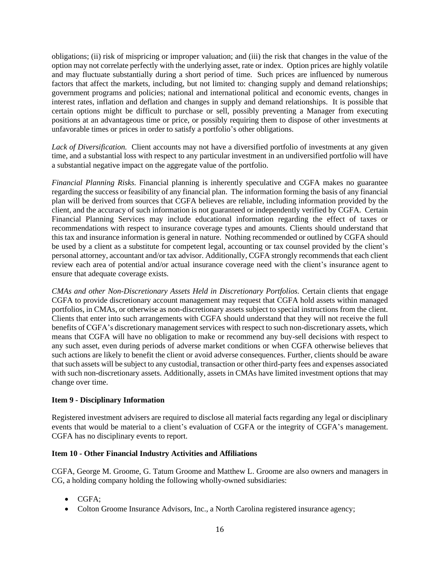obligations; (ii) risk of mispricing or improper valuation; and (iii) the risk that changes in the value of the option may not correlate perfectly with the underlying asset, rate or index. Option prices are highly volatile and may fluctuate substantially during a short period of time. Such prices are influenced by numerous factors that affect the markets, including, but not limited to: changing supply and demand relationships; government programs and policies; national and international political and economic events, changes in interest rates, inflation and deflation and changes in supply and demand relationships. It is possible that certain options might be difficult to purchase or sell, possibly preventing a Manager from executing positions at an advantageous time or price, or possibly requiring them to dispose of other investments at unfavorable times or prices in order to satisfy a portfolio's other obligations.

*Lack of Diversification.* Client accounts may not have a diversified portfolio of investments at any given time, and a substantial loss with respect to any particular investment in an undiversified portfolio will have a substantial negative impact on the aggregate value of the portfolio.

*Financial Planning Risks.* Financial planning is inherently speculative and CGFA makes no guarantee regarding the success or feasibility of any financial plan. The information forming the basis of any financial plan will be derived from sources that CGFA believes are reliable, including information provided by the client, and the accuracy of such information is not guaranteed or independently verified by CGFA. Certain Financial Planning Services may include educational information regarding the effect of taxes or recommendations with respect to insurance coverage types and amounts. Clients should understand that this tax and insurance information is general in nature. Nothing recommended or outlined by CGFA should be used by a client as a substitute for competent legal, accounting or tax counsel provided by the client's personal attorney, accountant and/or tax advisor. Additionally, CGFA strongly recommends that each client review each area of potential and/or actual insurance coverage need with the client's insurance agent to ensure that adequate coverage exists.

*CMAs and other Non-Discretionary Assets Held in Discretionary Portfolios.* Certain clients that engage CGFA to provide discretionary account management may request that CGFA hold assets within managed portfolios, in CMAs, or otherwise as non-discretionary assets subject to special instructions from the client. Clients that enter into such arrangements with CGFA should understand that they will not receive the full benefits of CGFA's discretionary management services with respect to such non-discretionary assets, which means that CGFA will have no obligation to make or recommend any buy-sell decisions with respect to any such asset, even during periods of adverse market conditions or when CGFA otherwise believes that such actions are likely to benefit the client or avoid adverse consequences. Further, clients should be aware that such assets will be subject to any custodial, transaction or other third-party fees and expenses associated with such non-discretionary assets. Additionally, assets in CMAs have limited investment options that may change over time.

#### **Item 9 - Disciplinary Information**

Registered investment advisers are required to disclose all material facts regarding any legal or disciplinary events that would be material to a client's evaluation of CGFA or the integrity of CGFA's management. CGFA has no disciplinary events to report.

#### **Item 10 - Other Financial Industry Activities and Affiliations**

CGFA, George M. Groome, G. Tatum Groome and Matthew L. Groome are also owners and managers in CG, a holding company holding the following wholly-owned subsidiaries:

- CGFA;
- Colton Groome Insurance Advisors, Inc., a North Carolina registered insurance agency;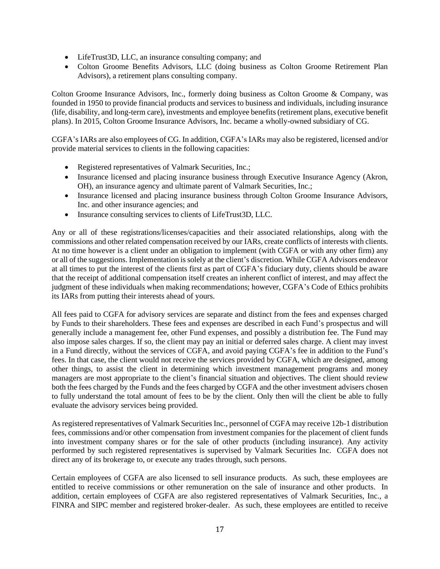- LifeTrust3D, LLC, an insurance consulting company; and
- Colton Groome Benefits Advisors, LLC (doing business as Colton Groome Retirement Plan Advisors), a retirement plans consulting company.

Colton Groome Insurance Advisors, Inc., formerly doing business as Colton Groome & Company, was founded in 1950 to provide financial products and services to business and individuals, including insurance (life, disability, and long-term care), investments and employee benefits (retirement plans, executive benefit plans). In 2015, Colton Groome Insurance Advisors, Inc. became a wholly-owned subsidiary of CG.

CGFA's IARs are also employees of CG. In addition, CGFA's IARs may also be registered, licensed and/or provide material services to clients in the following capacities:

- Registered representatives of Valmark Securities, Inc.;
- Insurance licensed and placing insurance business through Executive Insurance Agency (Akron, OH), an insurance agency and ultimate parent of Valmark Securities, Inc.;
- Insurance licensed and placing insurance business through Colton Groome Insurance Advisors, Inc. and other insurance agencies; and
- Insurance consulting services to clients of LifeTrust3D, LLC.

Any or all of these registrations/licenses/capacities and their associated relationships, along with the commissions and other related compensation received by our IARs, create conflicts of interests with clients. At no time however is a client under an obligation to implement (with CGFA or with any other firm) any or all of the suggestions. Implementation is solely at the client's discretion. While CGFA Advisors endeavor at all times to put the interest of the clients first as part of CGFA's fiduciary duty, clients should be aware that the receipt of additional compensation itself creates an inherent conflict of interest, and may affect the judgment of these individuals when making recommendations; however, CGFA's Code of Ethics prohibits its IARs from putting their interests ahead of yours.

All fees paid to CGFA for advisory services are separate and distinct from the fees and expenses charged by Funds to their shareholders. These fees and expenses are described in each Fund's prospectus and will generally include a management fee, other Fund expenses, and possibly a distribution fee. The Fund may also impose sales charges. If so, the client may pay an initial or deferred sales charge. A client may invest in a Fund directly, without the services of CGFA, and avoid paying CGFA's fee in addition to the Fund's fees. In that case, the client would not receive the services provided by CGFA, which are designed, among other things, to assist the client in determining which investment management programs and money managers are most appropriate to the client's financial situation and objectives. The client should review both the fees charged by the Funds and the fees charged by CGFA and the other investment advisers chosen to fully understand the total amount of fees to be by the client. Only then will the client be able to fully evaluate the advisory services being provided.

As registered representatives of Valmark Securities Inc., personnel of CGFA may receive 12b-1 distribution fees, commissions and/or other compensation from investment companies for the placement of client funds into investment company shares or for the sale of other products (including insurance). Any activity performed by such registered representatives is supervised by Valmark Securities Inc. CGFA does not direct any of its brokerage to, or execute any trades through, such persons.

Certain employees of CGFA are also licensed to sell insurance products. As such, these employees are entitled to receive commissions or other remuneration on the sale of insurance and other products. In addition, certain employees of CGFA are also registered representatives of Valmark Securities, Inc., a FINRA and SIPC member and registered broker-dealer. As such, these employees are entitled to receive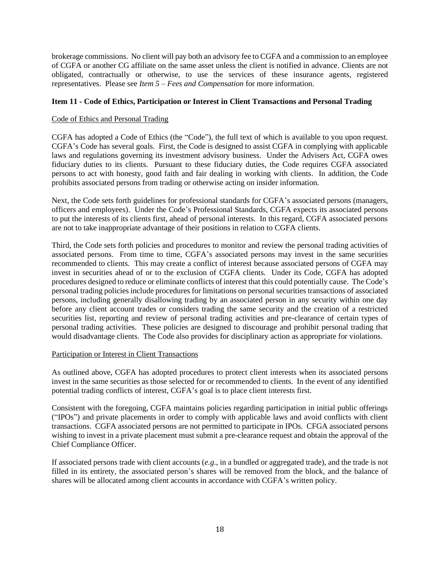brokerage commissions. No client will pay both an advisory fee to CGFA and a commission to an employee of CGFA or another CG affiliate on the same asset unless the client is notified in advance. Clients are not obligated, contractually or otherwise, to use the services of these insurance agents, registered representatives. Please see *Item 5 – Fees and Compensation* for more information.

#### **Item 11 - Code of Ethics, Participation or Interest in Client Transactions and Personal Trading**

#### Code of Ethics and Personal Trading

CGFA has adopted a Code of Ethics (the "Code"), the full text of which is available to you upon request. CGFA's Code has several goals. First, the Code is designed to assist CGFA in complying with applicable laws and regulations governing its investment advisory business. Under the Advisers Act, CGFA owes fiduciary duties to its clients. Pursuant to these fiduciary duties, the Code requires CGFA associated persons to act with honesty, good faith and fair dealing in working with clients. In addition, the Code prohibits associated persons from trading or otherwise acting on insider information.

Next, the Code sets forth guidelines for professional standards for CGFA's associated persons (managers, officers and employees). Under the Code's Professional Standards, CGFA expects its associated persons to put the interests of its clients first, ahead of personal interests. In this regard, CGFA associated persons are not to take inappropriate advantage of their positions in relation to CGFA clients.

Third, the Code sets forth policies and procedures to monitor and review the personal trading activities of associated persons. From time to time, CGFA's associated persons may invest in the same securities recommended to clients. This may create a conflict of interest because associated persons of CGFA may invest in securities ahead of or to the exclusion of CGFA clients. Under its Code, CGFA has adopted procedures designed to reduce or eliminate conflicts of interest that this could potentially cause. The Code's personal trading policies include procedures for limitations on personal securities transactions of associated persons, including generally disallowing trading by an associated person in any security within one day before any client account trades or considers trading the same security and the creation of a restricted securities list, reporting and review of personal trading activities and pre-clearance of certain types of personal trading activities. These policies are designed to discourage and prohibit personal trading that would disadvantage clients. The Code also provides for disciplinary action as appropriate for violations.

#### Participation or Interest in Client Transactions

As outlined above, CGFA has adopted procedures to protect client interests when its associated persons invest in the same securities as those selected for or recommended to clients. In the event of any identified potential trading conflicts of interest, CGFA's goal is to place client interests first.

Consistent with the foregoing, CGFA maintains policies regarding participation in initial public offerings ("IPOs") and private placements in order to comply with applicable laws and avoid conflicts with client transactions. CGFA associated persons are not permitted to participate in IPOs. CFGA associated persons wishing to invest in a private placement must submit a pre-clearance request and obtain the approval of the Chief Compliance Officer.

If associated persons trade with client accounts (*e.g.*, in a bundled or aggregated trade), and the trade is not filled in its entirety, the associated person's shares will be removed from the block, and the balance of shares will be allocated among client accounts in accordance with CGFA's written policy.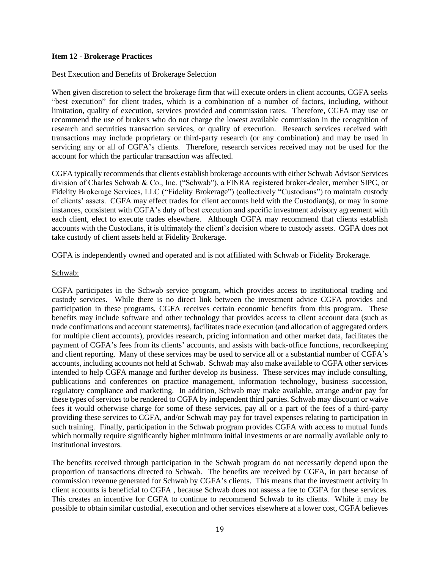#### **Item 12 - Brokerage Practices**

#### Best Execution and Benefits of Brokerage Selection

When given discretion to select the brokerage firm that will execute orders in client accounts, CGFA seeks "best execution" for client trades, which is a combination of a number of factors, including, without limitation, quality of execution, services provided and commission rates. Therefore, CGFA may use or recommend the use of brokers who do not charge the lowest available commission in the recognition of research and securities transaction services, or quality of execution. Research services received with transactions may include proprietary or third-party research (or any combination) and may be used in servicing any or all of CGFA's clients. Therefore, research services received may not be used for the account for which the particular transaction was affected.

CGFA typically recommends that clients establish brokerage accounts with either Schwab Advisor Services division of Charles Schwab & Co., Inc. ("Schwab"), a FINRA registered broker-dealer, member SIPC, or Fidelity Brokerage Services, LLC ("Fidelity Brokerage") (collectively "Custodians") to maintain custody of clients' assets. CGFA may effect trades for client accounts held with the Custodian(s), or may in some instances, consistent with CGFA's duty of best execution and specific investment advisory agreement with each client, elect to execute trades elsewhere. Although CGFA may recommend that clients establish accounts with the Custodians, it is ultimately the client's decision where to custody assets. CGFA does not take custody of client assets held at Fidelity Brokerage.

CGFA is independently owned and operated and is not affiliated with Schwab or Fidelity Brokerage.

#### Schwab:

CGFA participates in the Schwab service program, which provides access to institutional trading and custody services. While there is no direct link between the investment advice CGFA provides and participation in these programs, CGFA receives certain economic benefits from this program. These benefits may include software and other technology that provides access to client account data (such as trade confirmations and account statements), facilitates trade execution (and allocation of aggregated orders for multiple client accounts), provides research, pricing information and other market data, facilitates the payment of CGFA's fees from its clients' accounts, and assists with back-office functions, recordkeeping and client reporting. Many of these services may be used to service all or a substantial number of CGFA's accounts, including accounts not held at Schwab. Schwab may also make available to CGFA other services intended to help CGFA manage and further develop its business. These services may include consulting, publications and conferences on practice management, information technology, business succession, regulatory compliance and marketing. In addition, Schwab may make available, arrange and/or pay for these types of services to be rendered to CGFA by independent third parties. Schwab may discount or waive fees it would otherwise charge for some of these services, pay all or a part of the fees of a third-party providing these services to CGFA, and/or Schwab may pay for travel expenses relating to participation in such training. Finally, participation in the Schwab program provides CGFA with access to mutual funds which normally require significantly higher minimum initial investments or are normally available only to institutional investors.

The benefits received through participation in the Schwab program do not necessarily depend upon the proportion of transactions directed to Schwab. The benefits are received by CGFA, in part because of commission revenue generated for Schwab by CGFA's clients. This means that the investment activity in client accounts is beneficial to CGFA , because Schwab does not assess a fee to CGFA for these services. This creates an incentive for CGFA to continue to recommend Schwab to its clients. While it may be possible to obtain similar custodial, execution and other services elsewhere at a lower cost, CGFA believes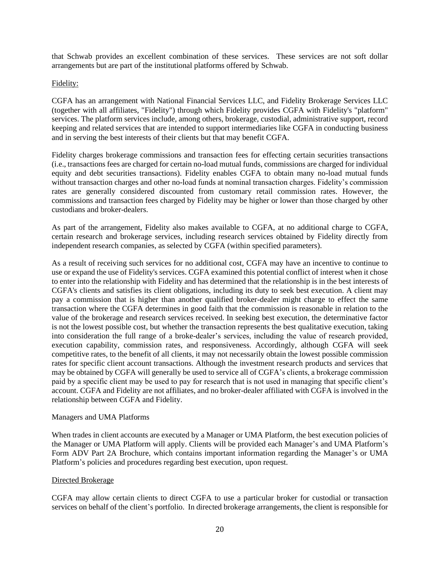that Schwab provides an excellent combination of these services. These services are not soft dollar arrangements but are part of the institutional platforms offered by Schwab.

#### Fidelity:

CGFA has an arrangement with National Financial Services LLC, and Fidelity Brokerage Services LLC (together with all affiliates, "Fidelity") through which Fidelity provides CGFA with Fidelity's "platform" services. The platform services include, among others, brokerage, custodial, administrative support, record keeping and related services that are intended to support intermediaries like CGFA in conducting business and in serving the best interests of their clients but that may benefit CGFA.

Fidelity charges brokerage commissions and transaction fees for effecting certain securities transactions (i.e., transactions fees are charged for certain no-load mutual funds, commissions are charged for individual equity and debt securities transactions). Fidelity enables CGFA to obtain many no-load mutual funds without transaction charges and other no-load funds at nominal transaction charges. Fidelity's commission rates are generally considered discounted from customary retail commission rates. However, the commissions and transaction fees charged by Fidelity may be higher or lower than those charged by other custodians and broker-dealers.

As part of the arrangement, Fidelity also makes available to CGFA, at no additional charge to CGFA, certain research and brokerage services, including research services obtained by Fidelity directly from independent research companies, as selected by CGFA (within specified parameters).

As a result of receiving such services for no additional cost, CGFA may have an incentive to continue to use or expand the use of Fidelity's services. CGFA examined this potential conflict of interest when it chose to enter into the relationship with Fidelity and has determined that the relationship is in the best interests of CGFA's clients and satisfies its client obligations, including its duty to seek best execution. A client may pay a commission that is higher than another qualified broker-dealer might charge to effect the same transaction where the CGFA determines in good faith that the commission is reasonable in relation to the value of the brokerage and research services received. In seeking best execution, the determinative factor is not the lowest possible cost, but whether the transaction represents the best qualitative execution, taking into consideration the full range of a broke-dealer's services, including the value of research provided, execution capability, commission rates, and responsiveness. Accordingly, although CGFA will seek competitive rates, to the benefit of all clients, it may not necessarily obtain the lowest possible commission rates for specific client account transactions. Although the investment research products and services that may be obtained by CGFA will generally be used to service all of CGFA's clients, a brokerage commission paid by a specific client may be used to pay for research that is not used in managing that specific client's account. CGFA and Fidelity are not affiliates, and no broker-dealer affiliated with CGFA is involved in the relationship between CGFA and Fidelity.

#### Managers and UMA Platforms

When trades in client accounts are executed by a Manager or UMA Platform, the best execution policies of the Manager or UMA Platform will apply. Clients will be provided each Manager's and UMA Platform's Form ADV Part 2A Brochure, which contains important information regarding the Manager's or UMA Platform's policies and procedures regarding best execution, upon request.

#### Directed Brokerage

CGFA may allow certain clients to direct CGFA to use a particular broker for custodial or transaction services on behalf of the client's portfolio. In directed brokerage arrangements, the client is responsible for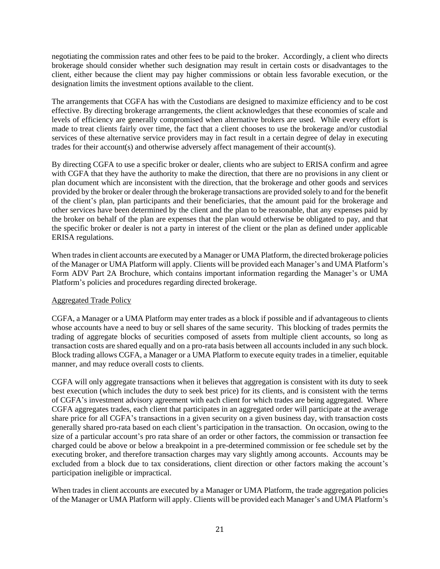negotiating the commission rates and other fees to be paid to the broker. Accordingly, a client who directs brokerage should consider whether such designation may result in certain costs or disadvantages to the client, either because the client may pay higher commissions or obtain less favorable execution, or the designation limits the investment options available to the client.

The arrangements that CGFA has with the Custodians are designed to maximize efficiency and to be cost effective. By directing brokerage arrangements, the client acknowledges that these economies of scale and levels of efficiency are generally compromised when alternative brokers are used. While every effort is made to treat clients fairly over time, the fact that a client chooses to use the brokerage and/or custodial services of these alternative service providers may in fact result in a certain degree of delay in executing trades for their account(s) and otherwise adversely affect management of their account(s).

By directing CGFA to use a specific broker or dealer, clients who are subject to ERISA confirm and agree with CGFA that they have the authority to make the direction, that there are no provisions in any client or plan document which are inconsistent with the direction, that the brokerage and other goods and services provided by the broker or dealer through the brokerage transactions are provided solely to and for the benefit of the client's plan, plan participants and their beneficiaries, that the amount paid for the brokerage and other services have been determined by the client and the plan to be reasonable, that any expenses paid by the broker on behalf of the plan are expenses that the plan would otherwise be obligated to pay, and that the specific broker or dealer is not a party in interest of the client or the plan as defined under applicable ERISA regulations.

When trades in client accounts are executed by a Manager or UMA Platform, the directed brokerage policies of the Manager or UMA Platform will apply. Clients will be provided each Manager's and UMA Platform's Form ADV Part 2A Brochure, which contains important information regarding the Manager's or UMA Platform's policies and procedures regarding directed brokerage.

#### Aggregated Trade Policy

CGFA, a Manager or a UMA Platform may enter trades as a block if possible and if advantageous to clients whose accounts have a need to buy or sell shares of the same security. This blocking of trades permits the trading of aggregate blocks of securities composed of assets from multiple client accounts, so long as transaction costs are shared equally and on a pro-rata basis between all accounts included in any such block. Block trading allows CGFA, a Manager or a UMA Platform to execute equity trades in a timelier, equitable manner, and may reduce overall costs to clients.

CGFA will only aggregate transactions when it believes that aggregation is consistent with its duty to seek best execution (which includes the duty to seek best price) for its clients, and is consistent with the terms of CGFA's investment advisory agreement with each client for which trades are being aggregated. Where CGFA aggregates trades, each client that participates in an aggregated order will participate at the average share price for all CGFA's transactions in a given security on a given business day, with transaction costs generally shared pro-rata based on each client's participation in the transaction. On occasion, owing to the size of a particular account's pro rata share of an order or other factors, the commission or transaction fee charged could be above or below a breakpoint in a pre-determined commission or fee schedule set by the executing broker, and therefore transaction charges may vary slightly among accounts. Accounts may be excluded from a block due to tax considerations, client direction or other factors making the account's participation ineligible or impractical.

When trades in client accounts are executed by a Manager or UMA Platform, the trade aggregation policies of the Manager or UMA Platform will apply. Clients will be provided each Manager's and UMA Platform's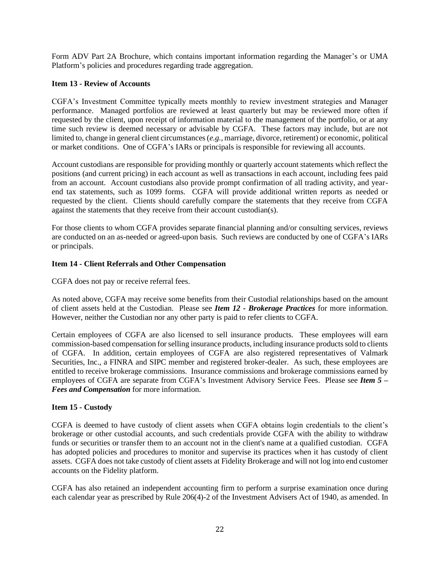Form ADV Part 2A Brochure, which contains important information regarding the Manager's or UMA Platform's policies and procedures regarding trade aggregation.

#### **Item 13 - Review of Accounts**

CGFA's Investment Committee typically meets monthly to review investment strategies and Manager performance. Managed portfolios are reviewed at least quarterly but may be reviewed more often if requested by the client, upon receipt of information material to the management of the portfolio, or at any time such review is deemed necessary or advisable by CGFA. These factors may include, but are not limited to, change in general client circumstances (*e.g.*, marriage, divorce, retirement) or economic, political or market conditions. One of CGFA's IARs or principals is responsible for reviewing all accounts.

Account custodians are responsible for providing monthly or quarterly account statements which reflect the positions (and current pricing) in each account as well as transactions in each account, including fees paid from an account. Account custodians also provide prompt confirmation of all trading activity, and yearend tax statements, such as 1099 forms. CGFA will provide additional written reports as needed or requested by the client. Clients should carefully compare the statements that they receive from CGFA against the statements that they receive from their account custodian(s).

For those clients to whom CGFA provides separate financial planning and/or consulting services, reviews are conducted on an as-needed or agreed-upon basis. Such reviews are conducted by one of CGFA's IARs or principals.

#### **Item 14 - Client Referrals and Other Compensation**

CGFA does not pay or receive referral fees.

As noted above, CGFA may receive some benefits from their Custodial relationships based on the amount of client assets held at the Custodian. Please see *Item 12 - Brokerage Practices* for more information. However, neither the Custodian nor any other party is paid to refer clients to CGFA.

Certain employees of CGFA are also licensed to sell insurance products. These employees will earn commission-based compensation for selling insurance products, including insurance products sold to clients of CGFA. In addition, certain employees of CGFA are also registered representatives of Valmark Securities, Inc., a FINRA and SIPC member and registered broker-dealer. As such, these employees are entitled to receive brokerage commissions. Insurance commissions and brokerage commissions earned by employees of CGFA are separate from CGFA's Investment Advisory Service Fees. Please see *Item 5 – Fees and Compensation* for more information.

#### **Item 15 - Custody**

CGFA is deemed to have custody of client assets when CGFA obtains login credentials to the client's brokerage or other custodial accounts, and such credentials provide CGFA with the ability to withdraw funds or securities or transfer them to an account not in the client's name at a qualified custodian. CGFA has adopted policies and procedures to monitor and supervise its practices when it has custody of client assets. CGFA does not take custody of client assets at Fidelity Brokerage and will not log into end customer accounts on the Fidelity platform.

CGFA has also retained an independent accounting firm to perform a surprise examination once during each calendar year as prescribed by Rule 206(4)-2 of the Investment Advisers Act of 1940, as amended. In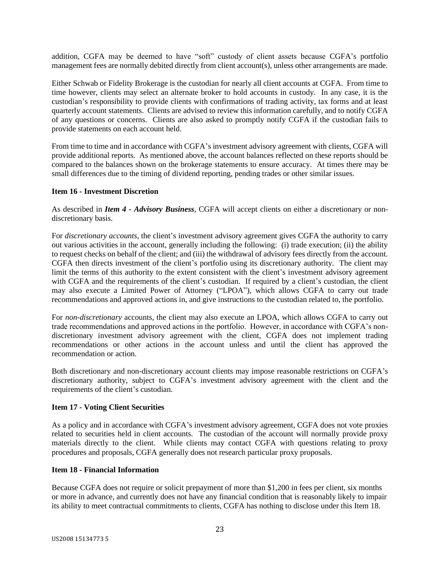addition, CGFA may be deemed to have "soft" custody of client assets because CGFA's portfolio management fees are normally debited directly from client account(s), unless other arrangements are made.

Either Schwab or Fidelity Brokerage is the custodian for nearly all client accounts at CGFA. From time to time however, clients may select an alternate broker to hold accounts in custody. In any case, it is the custodian's responsibility to provide clients with confirmations of trading activity, tax forms and at least quarterly account statements. Clients are advised to review this information carefully, and to notify CGFA of any questions or concerns. Clients are also asked to promptly notify CGFA if the custodian fails to provide statements on each account held.

From time to time and in accordance with CGFA's investment advisory agreement with clients, CGFA will provide additional reports. As mentioned above, the account balances reflected on these reports should be compared to the balances shown on the brokerage statements to ensure accuracy. At times there may be small differences due to the timing of dividend reporting, pending trades or other similar issues.

#### **Item 16 - Investment Discretion**

As described in *Item 4 - Advisory Business*, CGFA will accept clients on either a discretionary or nondiscretionary basis.

For *discretionary accounts*, the client's investment advisory agreement gives CGFA the authority to carry out various activities in the account, generally including the following: (i) trade execution; (ii) the ability to request checks on behalf of the client; and (iii) the withdrawal of advisory fees directly from the account. CGFA then directs investment of the client's portfolio using its discretionary authority. The client may limit the terms of this authority to the extent consistent with the client's investment advisory agreement with CGFA and the requirements of the client's custodian. If required by a client's custodian, the client may also execute a Limited Power of Attorney ("LPOA"), which allows CGFA to carry out trade recommendations and approved actions in, and give instructions to the custodian related to, the portfolio.

For *non-discretionary* accounts, the client may also execute an LPOA, which allows CGFA to carry out trade recommendations and approved actions in the portfolio. However, in accordance with CGFA's nondiscretionary investment advisory agreement with the client, CGFA does not implement trading recommendations or other actions in the account unless and until the client has approved the recommendation or action.

Both discretionary and non-discretionary account clients may impose reasonable restrictions on CGFA's discretionary authority, subject to CGFA's investment advisory agreement with the client and the requirements of the client's custodian.

#### **Item 17 - Voting Client Securities**

As a policy and in accordance with CGFA's investment advisory agreement, CGFA does not vote proxies related to securities held in client accounts. The custodian of the account will normally provide proxy materials directly to the client. While clients may contact CGFA with questions relating to proxy procedures and proposals, CGFA generally does not research particular proxy proposals.

#### **Item 18 - Financial Information**

Because CGFA does not require or solicit prepayment of more than \$1,200 in fees per client, six months or more in advance, and currently does not have any financial condition that is reasonably likely to impair its ability to meet contractual commitments to clients, CGFA has nothing to disclose under this Item 18.